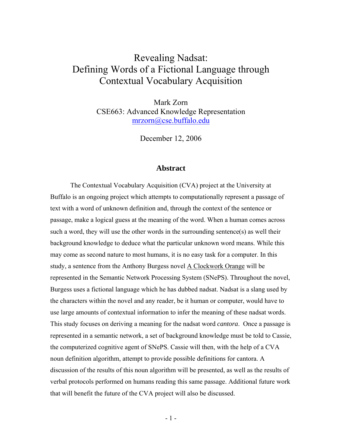# Revealing Nadsat: Defining Words of a Fictional Language through Contextual Vocabulary Acquisition

Mark Zorn CSE663: Advanced Knowledge Representation mrzorn@cse.buffalo.edu

December 12, 2006

#### **Abstract**

The Contextual Vocabulary Acquisition (CVA) project at the University at Buffalo is an ongoing project which attempts to computationally represent a passage of text with a word of unknown definition and, through the context of the sentence or passage, make a logical guess at the meaning of the word. When a human comes across such a word, they will use the other words in the surrounding sentence(s) as well their background knowledge to deduce what the particular unknown word means. While this may come as second nature to most humans, it is no easy task for a computer. In this study, a sentence from the Anthony Burgess novel A Clockwork Orange will be represented in the Semantic Network Processing System (SNePS). Throughout the novel, Burgess uses a fictional language which he has dubbed nadsat. Nadsat is a slang used by the characters within the novel and any reader, be it human or computer, would have to use large amounts of contextual information to infer the meaning of these nadsat words. This study focuses on deriving a meaning for the nadsat word *cantora*. Once a passage is represented in a semantic network, a set of background knowledge must be told to Cassie, the computerized cognitive agent of SNePS. Cassie will then, with the help of a CVA noun definition algorithm, attempt to provide possible definitions for cantora. A discussion of the results of this noun algorithm will be presented, as well as the results of verbal protocols performed on humans reading this same passage. Additional future work that will benefit the future of the CVA project will also be discussed.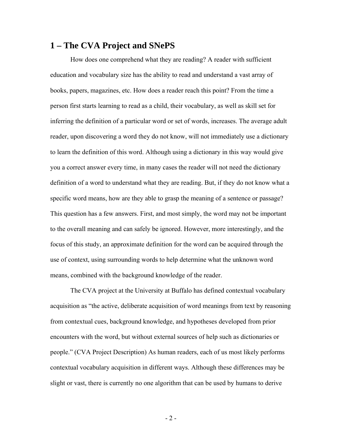### **1 – The CVA Project and SNePS**

 How does one comprehend what they are reading? A reader with sufficient education and vocabulary size has the ability to read and understand a vast array of books, papers, magazines, etc. How does a reader reach this point? From the time a person first starts learning to read as a child, their vocabulary, as well as skill set for inferring the definition of a particular word or set of words, increases. The average adult reader, upon discovering a word they do not know, will not immediately use a dictionary to learn the definition of this word. Although using a dictionary in this way would give you a correct answer every time, in many cases the reader will not need the dictionary definition of a word to understand what they are reading. But, if they do not know what a specific word means, how are they able to grasp the meaning of a sentence or passage? This question has a few answers. First, and most simply, the word may not be important to the overall meaning and can safely be ignored. However, more interestingly, and the focus of this study, an approximate definition for the word can be acquired through the use of context, using surrounding words to help determine what the unknown word means, combined with the background knowledge of the reader.

The CVA project at the University at Buffalo has defined contextual vocabulary acquisition as "the active, deliberate acquisition of word meanings from text by reasoning from contextual cues, background knowledge, and hypotheses developed from prior encounters with the word, but without external sources of help such as dictionaries or people." (CVA Project Description) As human readers, each of us most likely performs contextual vocabulary acquisition in different ways. Although these differences may be slight or vast, there is currently no one algorithm that can be used by humans to derive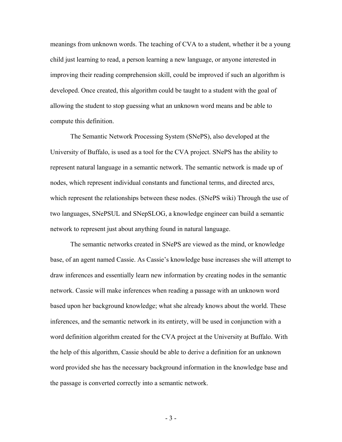meanings from unknown words. The teaching of CVA to a student, whether it be a young child just learning to read, a person learning a new language, or anyone interested in improving their reading comprehension skill, could be improved if such an algorithm is developed. Once created, this algorithm could be taught to a student with the goal of allowing the student to stop guessing what an unknown word means and be able to compute this definition.

 The Semantic Network Processing System (SNePS), also developed at the University of Buffalo, is used as a tool for the CVA project. SNePS has the ability to represent natural language in a semantic network. The semantic network is made up of nodes, which represent individual constants and functional terms, and directed arcs, which represent the relationships between these nodes. (SNePS wiki) Through the use of two languages, SNePSUL and SNepSLOG, a knowledge engineer can build a semantic network to represent just about anything found in natural language.

The semantic networks created in SNePS are viewed as the mind, or knowledge base, of an agent named Cassie. As Cassie's knowledge base increases she will attempt to draw inferences and essentially learn new information by creating nodes in the semantic network. Cassie will make inferences when reading a passage with an unknown word based upon her background knowledge; what she already knows about the world. These inferences, and the semantic network in its entirety, will be used in conjunction with a word definition algorithm created for the CVA project at the University at Buffalo. With the help of this algorithm, Cassie should be able to derive a definition for an unknown word provided she has the necessary background information in the knowledge base and the passage is converted correctly into a semantic network.

- 3 -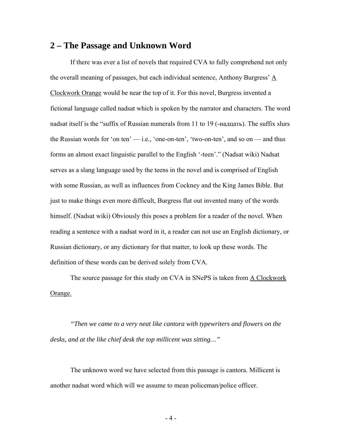#### **2 – The Passage and Unknown Word**

 If there was ever a list of novels that required CVA to fully comprehend not only the overall meaning of passages, but each individual sentence, Anthony Burgress' A Clockwork Orange would be near the top of it. For this novel, Burgress invented a fictional language called nadsat which is spoken by the narrator and characters. The word nadsat itself is the "suffix of Russian numerals from 11 to 19 (-надцать). The suffix slurs the Russian words for 'on ten'  $-$  i.e., 'one-on-ten', 'two-on-ten', and so on  $-$  and thus forms an almost exact linguistic parallel to the English '-teen'." (Nadsat wiki) Nadsat serves as a slang language used by the teens in the novel and is comprised of English with some Russian, as well as influences from Cockney and the King James Bible. But just to make things even more difficult, Burgress flat out invented many of the words himself. (Nadsat wiki) Obviously this poses a problem for a reader of the novel. When reading a sentence with a nadsat word in it, a reader can not use an English dictionary, or Russian dictionary, or any dictionary for that matter, to look up these words. The definition of these words can be derived solely from CVA.

 The source passage for this study on CVA in SNePS is taken from A Clockwork Orange.

*"Then we came to a very neat like cantora with typewriters and flowers on the desks, and at the like chief desk the top millicent was sitting…"* 

 The unknown word we have selected from this passage is cantora. Millicent is another nadsat word which will we assume to mean policeman/police officer.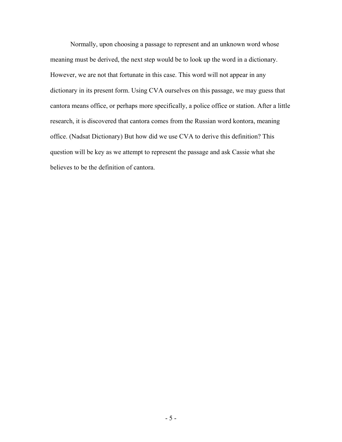Normally, upon choosing a passage to represent and an unknown word whose meaning must be derived, the next step would be to look up the word in a dictionary. However, we are not that fortunate in this case. This word will not appear in any dictionary in its present form. Using CVA ourselves on this passage, we may guess that cantora means office, or perhaps more specifically, a police office or station. After a little research, it is discovered that cantora comes from the Russian word kontora, meaning office. (Nadsat Dictionary) But how did we use CVA to derive this definition? This question will be key as we attempt to represent the passage and ask Cassie what she believes to be the definition of cantora.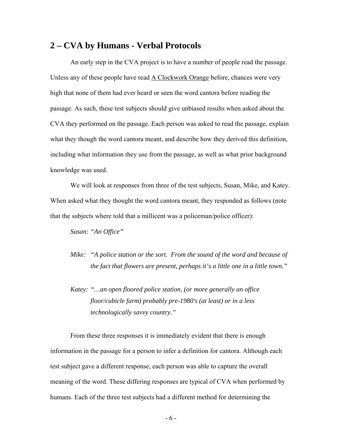#### **2 – CVA by Humans - Verbal Protocols**

 An early step in the CVA project is to have a number of people read the passage. Unless any of these people have read A Clockwork Orange before, chances were very high that none of them had ever heard or seen the word cantora before reading the passage. As such, these test subjects should give unbiased results when asked about the CVA they performed on the passage. Each person was asked to read the passage, explain what they though the word cantora meant, and describe how they derived this definition, including what information they use from the passage, as well as what prior background knowledge was used.

 We will look at responses from three of the test subjects, Susan, Mike, and Katey. When asked what they thought the word cantora meant, they responded as follows (note that the subjects where told that a millicent was a policeman/police officer):

*Susan: "An Office"* 

- *Mike: "A police station or the sort. From the sound of the word and because of the fact that flowers are present, perhaps it's a little one in a little town."*
- *Katey: "…an open floored police station, (or more generally an office floor/cubicle farm) probably pre-1980's (at least) or in a less technologically savvy country."*

 From these three responses it is immediately evident that there is enough information in the passage for a person to infer a definition for cantora. Although each test subject gave a different response, each person was able to capture the overall meaning of the word. These differing responses are typical of CVA when performed by humans. Each of the three test subjects had a different method for determining the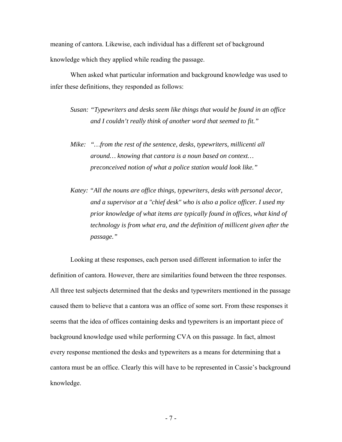meaning of cantora. Likewise, each individual has a different set of background knowledge which they applied while reading the passage.

 When asked what particular information and background knowledge was used to infer these definitions, they responded as follows:

*Susan: "Typewriters and desks seem like things that would be found in an office and I couldn't really think of another word that seemed to fit."* 

- *Mike: "…from the rest of the sentence, desks, typewriters, millicenti all around… knowing that cantora is a noun based on context… preconceived notion of what a police station would look like."*
- *Katey: "All the nouns are office things, typewriters, desks with personal decor, and a supervisor at a "chief desk" who is also a police officer. I used my prior knowledge of what items are typically found in offices, what kind of technology is from what era, and the definition of millicent given after the passage."*

 Looking at these responses, each person used different information to infer the definition of cantora. However, there are similarities found between the three responses. All three test subjects determined that the desks and typewriters mentioned in the passage caused them to believe that a cantora was an office of some sort. From these responses it seems that the idea of offices containing desks and typewriters is an important piece of background knowledge used while performing CVA on this passage. In fact, almost every response mentioned the desks and typewriters as a means for determining that a cantora must be an office. Clearly this will have to be represented in Cassie's background knowledge.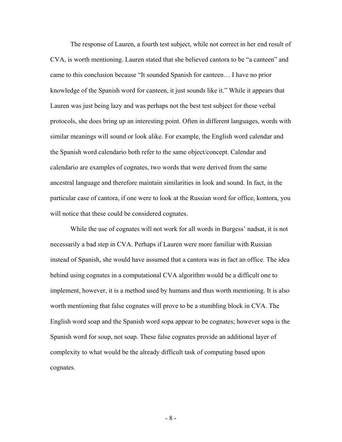The response of Lauren, a fourth test subject, while not correct in her end result of CVA, is worth mentioning. Lauren stated that she believed cantora to be "a canteen" and came to this conclusion because "It sounded Spanish for canteen… I have no prior knowledge of the Spanish word for canteen, it just sounds like it." While it appears that Lauren was just being lazy and was perhaps not the best test subject for these verbal protocols, she does bring up an interesting point. Often in different languages, words with similar meanings will sound or look alike. For example, the English word calendar and the Spanish word calendario both refer to the same object/concept. Calendar and calendario are examples of cognates, two words that were derived from the same ancestral language and therefore maintain similarities in look and sound. In fact, in the particular case of cantora, if one were to look at the Russian word for office, kontora, you will notice that these could be considered cognates.

While the use of cognates will not work for all words in Burgess' nadsat, it is not necessarily a bad step in CVA. Perhaps if Lauren were more familiar with Russian instead of Spanish, she would have assumed that a cantora was in fact an office. The idea behind using cognates in a computational CVA algorithm would be a difficult one to implement, however, it is a method used by humans and thus worth mentioning. It is also worth mentioning that false cognates will prove to be a stumbling block in CVA. The English word soap and the Spanish word sopa appear to be cognates; however sopa is the Spanish word for soup, not soap. These false cognates provide an additional layer of complexity to what would be the already difficult task of computing based upon cognates.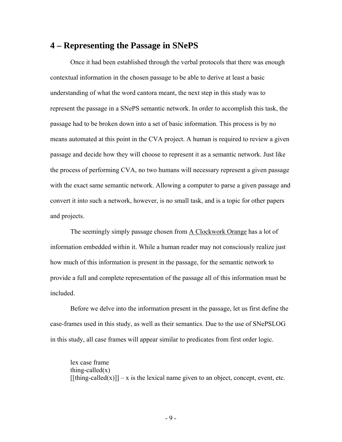### **4 – Representing the Passage in SNePS**

 Once it had been established through the verbal protocols that there was enough contextual information in the chosen passage to be able to derive at least a basic understanding of what the word cantora meant, the next step in this study was to represent the passage in a SNePS semantic network. In order to accomplish this task, the passage had to be broken down into a set of basic information. This process is by no means automated at this point in the CVA project. A human is required to review a given passage and decide how they will choose to represent it as a semantic network. Just like the process of performing CVA, no two humans will necessary represent a given passage with the exact same semantic network. Allowing a computer to parse a given passage and convert it into such a network, however, is no small task, and is a topic for other papers and projects.

 The seemingly simply passage chosen from A Clockwork Orange has a lot of information embedded within it. While a human reader may not consciously realize just how much of this information is present in the passage, for the semantic network to provide a full and complete representation of the passage all of this information must be included.

 Before we delve into the information present in the passage, let us first define the case-frames used in this study, as well as their semantics. Due to the use of SNePSLOG in this study, all case frames will appear similar to predicates from first order logic.

lex case frame thing-called $(x)$  $[$ [fthing-called(x)]] – x is the lexical name given to an object, concept, event, etc.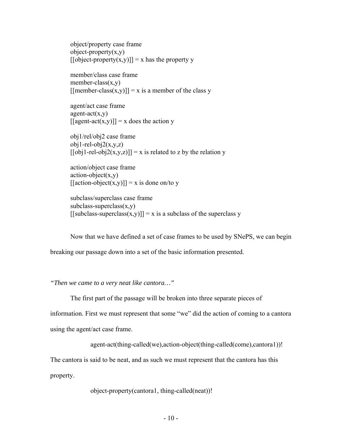object/property case frame  $object\text{-}property(x,y)$  $[**[object-property(x,y)]**] = x has the property y$ 

member/class case frame member-class $(x,y)$  $[$ [member-class(x,y)]] = x is a member of the class y

agent/act case frame  $agent-act(x,y)$  $[ [agent-act(x,y)]] = x$  does the action y

obj1/rel/obj2 case frame  $obj1-rel-obj2(x,y,z)$  $[ [obj1-rel-obj2(x,y,z)]] = x$  is related to z by the relation y

action/object case frame  $action-object(x,y)$  $[|]mathaction-object(x,y)] = x$  is done on/to y

subclass/superclass case frame  $subclass-superclass(x,y)$  $[$ [subclass-superclass(x,y)]] = x is a subclass of the superclass y

Now that we have defined a set of case frames to be used by SNePS, we can begin

breaking our passage down into a set of the basic information presented.

*"Then we came to a very neat like cantora…"* 

The first part of the passage will be broken into three separate pieces of

information. First we must represent that some "we" did the action of coming to a cantora

using the agent/act case frame.

```
 agent-act(thing-called(we),action-object(thing-called(come),cantora1))!
```
The cantora is said to be neat, and as such we must represent that the cantora has this

property.

object-property(cantora1, thing-called(neat))!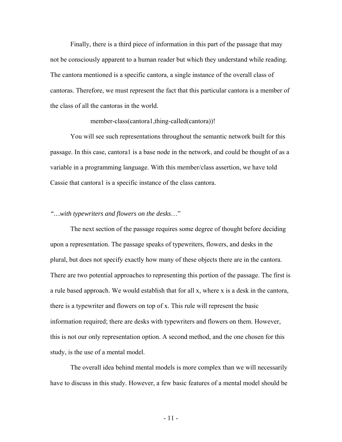Finally, there is a third piece of information in this part of the passage that may not be consciously apparent to a human reader but which they understand while reading. The cantora mentioned is a specific cantora, a single instance of the overall class of cantoras. Therefore, we must represent the fact that this particular cantora is a member of the class of all the cantoras in the world.

#### member-class(cantora1,thing-called(cantora))!

You will see such representations throughout the semantic network built for this passage. In this case, cantora1 is a base node in the network, and could be thought of as a variable in a programming language. With this member/class assertion, we have told Cassie that cantora1 is a specific instance of the class cantora.

#### *"…with typewriters and flowers on the desks*…"

 The next section of the passage requires some degree of thought before deciding upon a representation. The passage speaks of typewriters, flowers, and desks in the plural, but does not specify exactly how many of these objects there are in the cantora. There are two potential approaches to representing this portion of the passage. The first is a rule based approach. We would establish that for all x, where x is a desk in the cantora, there is a typewriter and flowers on top of x. This rule will represent the basic information required; there are desks with typewriters and flowers on them. However, this is not our only representation option. A second method, and the one chosen for this study, is the use of a mental model.

 The overall idea behind mental models is more complex than we will necessarily have to discuss in this study. However, a few basic features of a mental model should be

- 11 -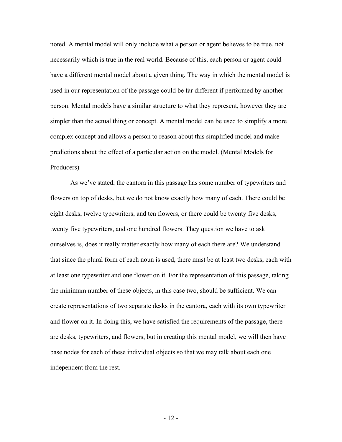noted. A mental model will only include what a person or agent believes to be true, not necessarily which is true in the real world. Because of this, each person or agent could have a different mental model about a given thing. The way in which the mental model is used in our representation of the passage could be far different if performed by another person. Mental models have a similar structure to what they represent, however they are simpler than the actual thing or concept. A mental model can be used to simplify a more complex concept and allows a person to reason about this simplified model and make predictions about the effect of a particular action on the model. (Mental Models for Producers)

 As we've stated, the cantora in this passage has some number of typewriters and flowers on top of desks, but we do not know exactly how many of each. There could be eight desks, twelve typewriters, and ten flowers, or there could be twenty five desks, twenty five typewriters, and one hundred flowers. They question we have to ask ourselves is, does it really matter exactly how many of each there are? We understand that since the plural form of each noun is used, there must be at least two desks, each with at least one typewriter and one flower on it. For the representation of this passage, taking the minimum number of these objects, in this case two, should be sufficient. We can create representations of two separate desks in the cantora, each with its own typewriter and flower on it. In doing this, we have satisfied the requirements of the passage, there are desks, typewriters, and flowers, but in creating this mental model, we will then have base nodes for each of these individual objects so that we may talk about each one independent from the rest.

- 12 -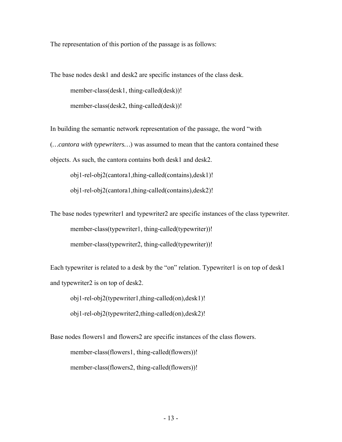The representation of this portion of the passage is as follows:

The base nodes desk1 and desk2 are specific instances of the class desk.

member-class(desk1, thing-called(desk))!

member-class(desk2, thing-called(desk))!

In building the semantic network representation of the passage, the word "with (*…cantora with typewriters…*) was assumed to mean that the cantora contained these objects. As such, the cantora contains both desk1 and desk2.

obj1-rel-obj2(cantora1,thing-called(contains),desk1)! obj1-rel-obj2(cantora1,thing-called(contains),desk2)!

The base nodes typewriter1 and typewriter2 are specific instances of the class typewriter. member-class(typewriter1, thing-called(typewriter))! member-class(typewriter2, thing-called(typewriter))!

Each typewriter is related to a desk by the "on" relation. Typewriter1 is on top of desk1 and typewriter2 is on top of desk2.

obj1-rel-obj2(typewriter1,thing-called(on),desk1)!

obj1-rel-obj2(typewriter2,thing-called(on),desk2)!

Base nodes flowers1 and flowers2 are specific instances of the class flowers. member-class(flowers1, thing-called(flowers))! member-class(flowers2, thing-called(flowers))!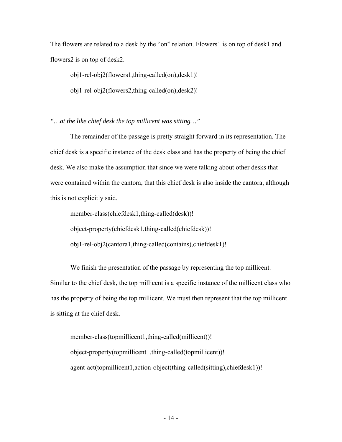The flowers are related to a desk by the "on" relation. Flowers1 is on top of desk1 and flowers2 is on top of desk2.

obj1-rel-obj2(flowers1,thing-called(on),desk1)!

obj1-rel-obj2(flowers2,thing-called(on),desk2)!

*"…at the like chief desk the top millicent was sitting…"* 

The remainder of the passage is pretty straight forward in its representation. The chief desk is a specific instance of the desk class and has the property of being the chief desk. We also make the assumption that since we were talking about other desks that were contained within the cantora, that this chief desk is also inside the cantora, although this is not explicitly said.

member-class(chiefdesk1,thing-called(desk))! object-property(chiefdesk1,thing-called(chiefdesk))! obj1-rel-obj2(cantora1,thing-called(contains),chiefdesk1)!

We finish the presentation of the passage by representing the top millicent. Similar to the chief desk, the top millicent is a specific instance of the millicent class who has the property of being the top millicent. We must then represent that the top millicent is sitting at the chief desk.

member-class(topmillicent1,thing-called(millicent))! object-property(topmillicent1,thing-called(topmillicent))! agent-act(topmillicent1,action-object(thing-called(sitting),chiefdesk1))!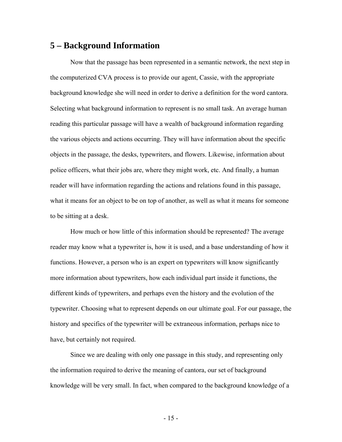#### **5 – Background Information**

Now that the passage has been represented in a semantic network, the next step in the computerized CVA process is to provide our agent, Cassie, with the appropriate background knowledge she will need in order to derive a definition for the word cantora. Selecting what background information to represent is no small task. An average human reading this particular passage will have a wealth of background information regarding the various objects and actions occurring. They will have information about the specific objects in the passage, the desks, typewriters, and flowers. Likewise, information about police officers, what their jobs are, where they might work, etc. And finally, a human reader will have information regarding the actions and relations found in this passage, what it means for an object to be on top of another, as well as what it means for someone to be sitting at a desk.

How much or how little of this information should be represented? The average reader may know what a typewriter is, how it is used, and a base understanding of how it functions. However, a person who is an expert on typewriters will know significantly more information about typewriters, how each individual part inside it functions, the different kinds of typewriters, and perhaps even the history and the evolution of the typewriter. Choosing what to represent depends on our ultimate goal. For our passage, the history and specifics of the typewriter will be extraneous information, perhaps nice to have, but certainly not required.

Since we are dealing with only one passage in this study, and representing only the information required to derive the meaning of cantora, our set of background knowledge will be very small. In fact, when compared to the background knowledge of a

- 15 -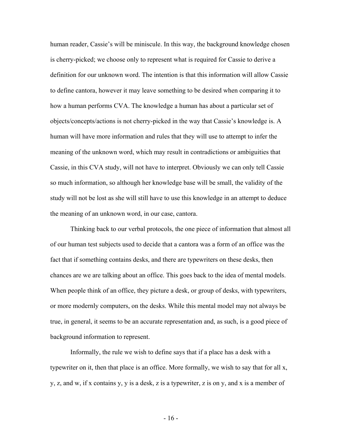human reader, Cassie's will be miniscule. In this way, the background knowledge chosen is cherry-picked; we choose only to represent what is required for Cassie to derive a definition for our unknown word. The intention is that this information will allow Cassie to define cantora, however it may leave something to be desired when comparing it to how a human performs CVA. The knowledge a human has about a particular set of objects/concepts/actions is not cherry-picked in the way that Cassie's knowledge is. A human will have more information and rules that they will use to attempt to infer the meaning of the unknown word, which may result in contradictions or ambiguities that Cassie, in this CVA study, will not have to interpret. Obviously we can only tell Cassie so much information, so although her knowledge base will be small, the validity of the study will not be lost as she will still have to use this knowledge in an attempt to deduce the meaning of an unknown word, in our case, cantora.

Thinking back to our verbal protocols, the one piece of information that almost all of our human test subjects used to decide that a cantora was a form of an office was the fact that if something contains desks, and there are typewriters on these desks, then chances are we are talking about an office. This goes back to the idea of mental models. When people think of an office, they picture a desk, or group of desks, with typewriters, or more modernly computers, on the desks. While this mental model may not always be true, in general, it seems to be an accurate representation and, as such, is a good piece of background information to represent.

Informally, the rule we wish to define says that if a place has a desk with a typewriter on it, then that place is an office. More formally, we wish to say that for all x, y, z, and w, if x contains y, y is a desk, z is a typewriter, z is on y, and x is a member of

 $-16-$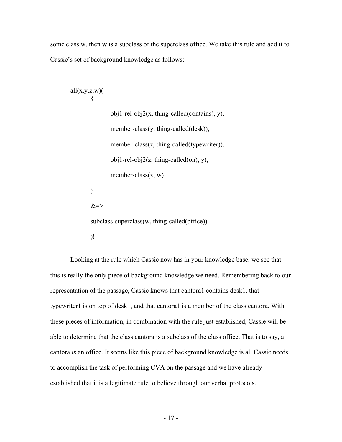some class w, then w is a subclass of the superclass office. We take this rule and add it to Cassie's set of background knowledge as follows:

```
all(x,y,z,w)(
\{ obj1-rel-obj2(x, thing-called(contains), y), 
               member-class(y, thing-called(desk)),
               member-class(z, thing-called(typewriter)),
               obj1-rel-obj2(z, thing-called (on), y),member-class(x, w) } 
       &\Rightarrow subclass-superclass(w, thing-called(office)) 
       )!
```
Looking at the rule which Cassie now has in your knowledge base, we see that this is really the only piece of background knowledge we need. Remembering back to our representation of the passage, Cassie knows that cantora1 contains desk1, that typewriter1 is on top of desk1, and that cantora1 is a member of the class cantora. With these pieces of information, in combination with the rule just established, Cassie will be able to determine that the class cantora is a subclass of the class office. That is to say, a cantora *is* an office. It seems like this piece of background knowledge is all Cassie needs to accomplish the task of performing CVA on the passage and we have already established that it is a legitimate rule to believe through our verbal protocols.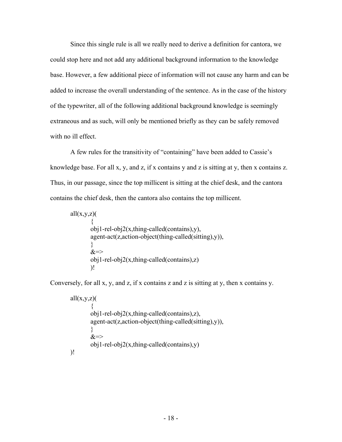Since this single rule is all we really need to derive a definition for cantora, we could stop here and not add any additional background information to the knowledge base. However, a few additional piece of information will not cause any harm and can be added to increase the overall understanding of the sentence. As in the case of the history of the typewriter, all of the following additional background knowledge is seemingly extraneous and as such, will only be mentioned briefly as they can be safely removed with no ill effect.

A few rules for the transitivity of "containing" have been added to Cassie's knowledge base. For all x, y, and z, if x contains y and z is sitting at y, then x contains z. Thus, in our passage, since the top millicent is sitting at the chief desk, and the cantora contains the chief desk, then the cantora also contains the top millicent.

```
all(x,y,z)(
\{obj1-rel-obj2(x, thing-called (contains),y), agent-act(z,action-object(thing-called(sitting),y)), 
 } 
       &=>obj1-rel-obj2(x, thing-called (contains), z))!
```
Conversely, for all x, y, and z, if x contains z and z is sitting at y, then x contains y.

```
all(x,y,z)(
\{ obj1-rel-obj2(x,thing-called(contains),z), 
         agent-act(z,action-object(thing-called(sitting),y)), 
         } 
        &\Rightarrowobj1-rel-obj2(x, thing-called (contains),y))!
```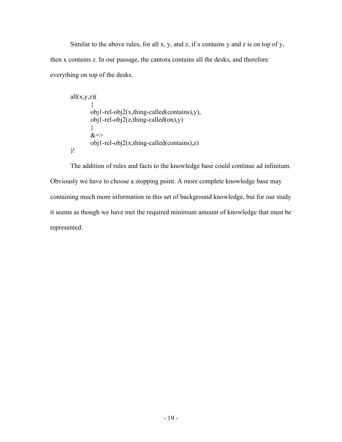Similar to the above rules, for all  $x$ ,  $y$ , and  $z$ , if  $x$  contains  $y$  and  $z$  is on top of  $y$ , then x contains z. In our passage, the cantora contains all the desks, and therefore everything on top of the desks.

$$
all(x,y,z)
$$
\n{  
\n{  
\n obj1-rel-obj2(x, thing-called (contains),y),  
\n obj1-rel-obj2(z, thing-called (on),y)  
\n}  
\n&=>  
\n obj1-rel-obj2(x, thing-called (contains),z)  
\n)]

The addition of rules and facts to the knowledge base could continue ad infinitum. Obviously we have to choose a stopping point. A more complete knowledge base may containing much more information in this set of background knowledge, but for our study it seems as though we have met the required minimum amount of knowledge that must be represented.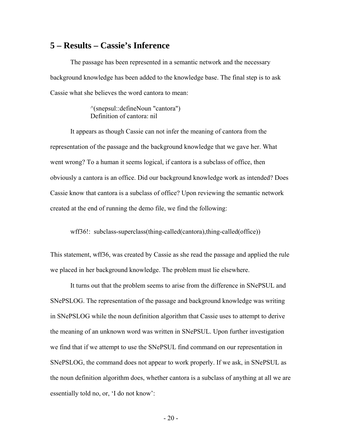### **5 – Results – Cassie's Inference**

The passage has been represented in a semantic network and the necessary background knowledge has been added to the knowledge base. The final step is to ask Cassie what she believes the word cantora to mean:

> ^(snepsul::defineNoun "cantora") Definition of cantora: nil

 It appears as though Cassie can not infer the meaning of cantora from the representation of the passage and the background knowledge that we gave her. What went wrong? To a human it seems logical, if cantora is a subclass of office, then obviously a cantora is an office. Did our background knowledge work as intended? Does Cassie know that cantora is a subclass of office? Upon reviewing the semantic network created at the end of running the demo file, we find the following:

wff36!: subclass-superclass(thing-called(cantora),thing-called(office))

This statement, wff36, was created by Cassie as she read the passage and applied the rule we placed in her background knowledge. The problem must lie elsewhere.

 It turns out that the problem seems to arise from the difference in SNePSUL and SNePSLOG. The representation of the passage and background knowledge was writing in SNePSLOG while the noun definition algorithm that Cassie uses to attempt to derive the meaning of an unknown word was written in SNePSUL. Upon further investigation we find that if we attempt to use the SNePSUL find command on our representation in SNePSLOG, the command does not appear to work properly. If we ask, in SNePSUL as the noun definition algorithm does, whether cantora is a subclass of anything at all we are essentially told no, or, 'I do not know':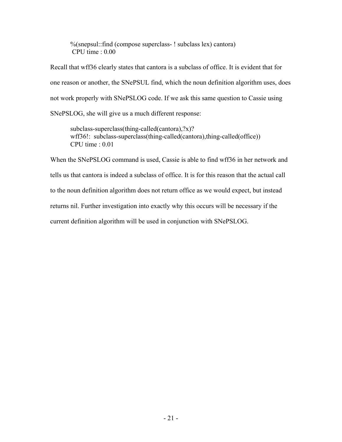%(snepsul::find (compose superclass- ! subclass lex) cantora) CPU time : 0.00

Recall that wff36 clearly states that cantora is a subclass of office. It is evident that for one reason or another, the SNePSUL find, which the noun definition algorithm uses, does not work properly with SNePSLOG code. If we ask this same question to Cassie using SNePSLOG, she will give us a much different response:

subclass-superclass(thing-called(cantora),?x)? wff36!: subclass-superclass(thing-called(cantora),thing-called(office)) CPU time : 0.01

When the SNePSLOG command is used, Cassie is able to find wff36 in her network and tells us that cantora is indeed a subclass of office. It is for this reason that the actual call to the noun definition algorithm does not return office as we would expect, but instead returns nil. Further investigation into exactly why this occurs will be necessary if the current definition algorithm will be used in conjunction with SNePSLOG.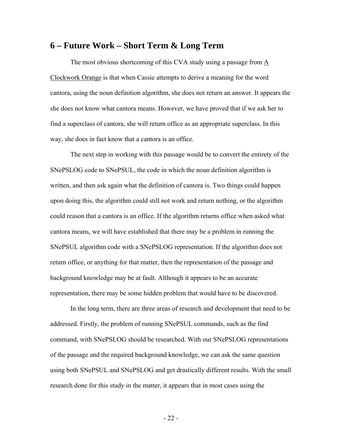#### **6 – Future Work – Short Term & Long Term**

The most obvious shortcoming of this CVA study using a passage from A Clockwork Orange is that when Cassie attempts to derive a meaning for the word cantora, using the noun definition algorithm, she does not return an answer. It appears the she does not know what cantora means. However, we have proved that if we ask her to find a superclass of cantora, she will return office as an appropriate superclass. In this way, she does in fact know that a cantora is an office.

The next step in working with this passage would be to convert the entirety of the SNePSLOG code to SNePSUL, the code in which the noun definition algorithm is written, and then ask again what the definition of cantora is. Two things could happen upon doing this, the algorithm could still not work and return nothing, or the algorithm could reason that a cantora is an office. If the algorithm returns office when asked what cantora means, we will have established that there may be a problem in running the SNePSUL algorithm code with a SNePSLOG representation. If the algorithm does not return office, or anything for that matter, then the representation of the passage and background knowledge may be at fault. Although it appears to be an accurate representation, there may be some hidden problem that would have to be discovered.

In the long term, there are three areas of research and development that need to be addressed. Firstly, the problem of running SNePSUL commands, such as the find command, with SNePSLOG should be researched. With our SNePSLOG representations of the passage and the required background knowledge, we can ask the same question using both SNePSUL and SNePSLOG and get drastically different results. With the small research done for this study in the matter, it appears that in most cases using the

- 22 -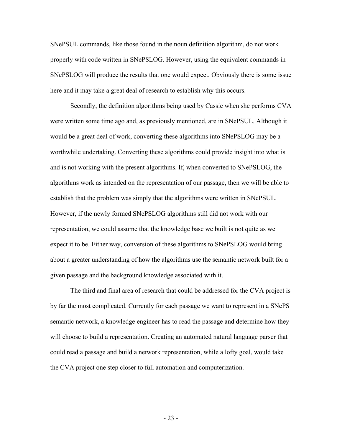SNePSUL commands, like those found in the noun definition algorithm, do not work properly with code written in SNePSLOG. However, using the equivalent commands in SNePSLOG will produce the results that one would expect. Obviously there is some issue here and it may take a great deal of research to establish why this occurs.

Secondly, the definition algorithms being used by Cassie when she performs CVA were written some time ago and, as previously mentioned, are in SNePSUL. Although it would be a great deal of work, converting these algorithms into SNePSLOG may be a worthwhile undertaking. Converting these algorithms could provide insight into what is and is not working with the present algorithms. If, when converted to SNePSLOG, the algorithms work as intended on the representation of our passage, then we will be able to establish that the problem was simply that the algorithms were written in SNePSUL. However, if the newly formed SNePSLOG algorithms still did not work with our representation, we could assume that the knowledge base we built is not quite as we expect it to be. Either way, conversion of these algorithms to SNePSLOG would bring about a greater understanding of how the algorithms use the semantic network built for a given passage and the background knowledge associated with it.

The third and final area of research that could be addressed for the CVA project is by far the most complicated. Currently for each passage we want to represent in a SNePS semantic network, a knowledge engineer has to read the passage and determine how they will choose to build a representation. Creating an automated natural language parser that could read a passage and build a network representation, while a lofty goal, would take the CVA project one step closer to full automation and computerization.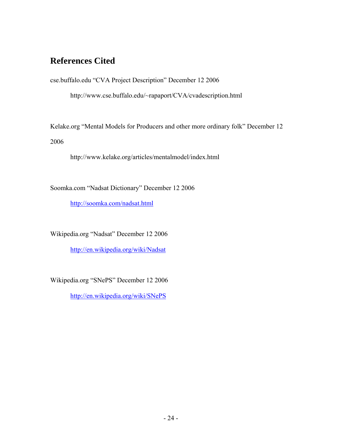## **References Cited**

cse.buffalo.edu "CVA Project Description" December 12 2006

http://www.cse.buffalo.edu/~rapaport/CVA/cvadescription.html

Kelake.org "Mental Models for Producers and other more ordinary folk" December 12 2006

http://www.kelake.org/articles/mentalmodel/index.html

Soomka.com "Nadsat Dictionary" December 12 2006

http://soomka.com/nadsat.html

Wikipedia.org "Nadsat" December 12 2006

http://en.wikipedia.org/wiki/Nadsat

Wikipedia.org "SNePS" December 12 2006

http://en.wikipedia.org/wiki/SNePS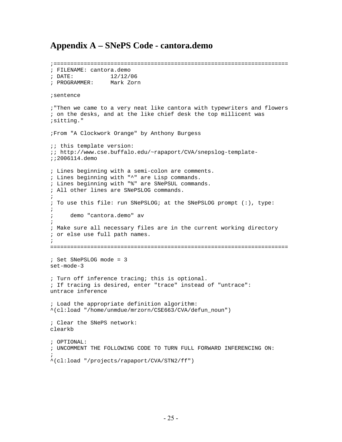## **Appendix A – SNePS Code - cantora.demo**

;====================================================================== ; FILENAME: cantora.demo ; DATE: 12/12/06 ; PROGRAMMER: Mark Zorn ;sentence ;"Then we came to a very neat like cantora with typewriters and flowers ; on the desks, and at the like chief desk the top millicent was ;sitting." ;From "A Clockwork Orange" by Anthony Burgess ;; this template version: ;; http://www.cse.buffalo.edu/~rapaport/CVA/snepslog-template- ;;2006114.demo ; Lines beginning with a semi-colon are comments. ; Lines beginning with "^" are Lisp commands. ; Lines beginning with "%" are SNePSUL commands. ; All other lines are SNePSLOG commands.  $\mathcal{L}$ ; To use this file: run SNePSLOG; at the SNePSLOG prompt (:), type: ; ; demo "cantora.demo" av  $\mathcal{L}$ ; Make sure all necessary files are in the current working directory ; or else use full path names. ; ======================================================================= ; Set SNePSLOG mode = 3 set-mode-3 ; Turn off inference tracing; this is optional. ; If tracing is desired, enter "trace" instead of "untrace": untrace inference ; Load the appropriate definition algorithm: ^(cl:load "/home/unmdue/mrzorn/CSE663/CVA/defun\_noun") ; Clear the SNePS network: clearkb ; OPTIONAL: ; UNCOMMENT THE FOLLOWING CODE TO TURN FULL FORWARD INFERENCING ON:  $\mathcal{L}$ ^(cl:load "/projects/rapaport/CVA/STN2/ff")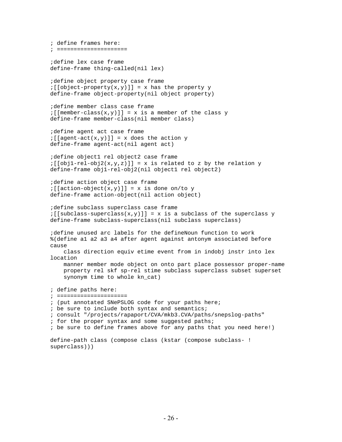```
; define frames here: 
; ===================== 
;define lex case frame 
define-frame thing-called(nil lex) 
;define object property case frame 
:[[object-property(x,y)]] = x has the property y
define-frame object-property(nil object property) 
;define member class case frame 
:[[member-class(x,y)]] = x is a member of the class ydefine-frame member-class(nil member class) 
;define agent act case frame 
:[[agent - act(x, y)]] = x does the action y
define-frame agent-act(nil agent act) 
;define object1 rel object2 case frame 
:[\text{obj1-rel-obj2}(x,y,z)]] = x is related to z by the relation y
define-frame obj1-rel-obj2(nil object1 rel object2) 
;define action object case frame 
:[ [action-object(x,y)]] = x is done on/to y
define-frame action-object(nil action object) 
;define subclass superclass case frame 
:[[subclass-superclass(x,y)]] = x is a subclass of the superclass y
define-frame subclass-superclass(nil subclass superclass) 
;define unused arc labels for the defineNoun function to work 
%(define a1 a2 a3 a4 after agent against antonym associated before 
cause 
     class direction equiv etime event from in indobj instr into lex 
location 
    manner member mode object on onto part place possessor proper-name 
     property rel skf sp-rel stime subclass superclass subset superset 
     synonym time to whole kn_cat) 
; define paths here: 
; ===================== 
; (put annotated SNePSLOG code for your paths here; 
; be sure to include both syntax and semantics; 
; consult "/projects/rapaport/CVA/mkb3.CVA/paths/snepslog-paths" 
; for the proper syntax and some suggested paths; 
; be sure to define frames above for any paths that you need here!) 
define-path class (compose class (kstar (compose subclass- ! 
superclass)))
```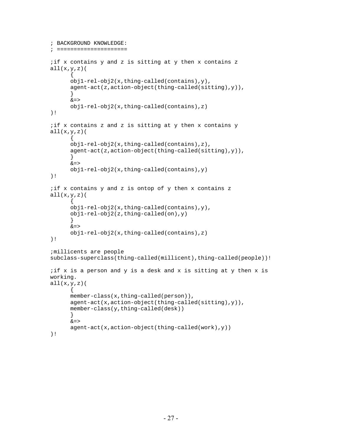```
; BACKGROUND KNOWLEDGE: 
; ===================== 
;if x contains y and z is sitting at y then x contains z 
all(x,y,z)( 
       { 
       obj1-rel-obj2(x,thing-called(contains),y), 
       agent-act(z,action-object(thing-called(sitting),y)), 
       } 
      &=> obj1-rel-obj2(x,thing-called(contains),z) 
)! 
;if x contains z and z is sitting at y then x contains y 
all(x,y,z) (
\{ obj1-rel-obj2(x,thing-called(contains),z), 
       agent-act(z,action-object(thing-called(sitting),y)), 
       } 
      &=&& obj1-rel-obj2(x,thing-called(contains),y) 
)! 
;if x contains y and z is ontop of y then x contains z 
all(x,y,z) (
\{ obj1-rel-obj2(x,thing-called(contains),y), 
       obj1-rel-obj2(z,thing-called(on),y) 
       } 
      &=> obj1-rel-obj2(x,thing-called(contains),z) 
)! 
;millicents are people 
subclass-superclass(thing-called(millicent),thing-called(people))! 
; if x is a person and y is a desk and x is sitting at y then x is
working. 
all(x,y,z) (
       { 
      member-class(x,thing-called(person)),
       agent-act(x,action-object(thing-called(sitting),y)), 
       member-class(y,thing-called(desk)) 
       } 
      &=&> agent-act(x,action-object(thing-called(work),y)) 
)!
```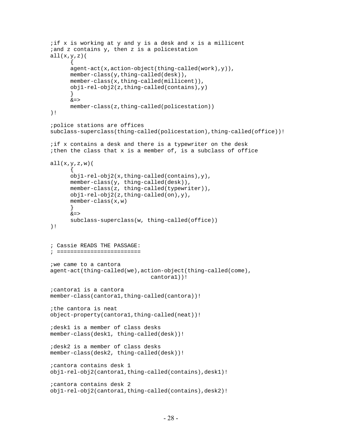```
;if x is working at y and y is a desk and x is a millicent 
iand z contains y, then z is a policestation
all(x,y,z) (
      \left\{ \right. agent-act(x,action-object(thing-called(work),y)), 
      member-class(y,thing-called(desk)),
      member-class(x,thing-called(millicent)),
       obj1-rel-obj2(z,thing-called(contains),y) 
       } 
      &=> member-class(z,thing-called(policestation)) 
)! 
;police stations are offices 
subclass-superclass(thing-called(policestation),thing-called(office))! 
;if x contains a desk and there is a typewriter on the desk 
;then the class that x is a member of, is a subclass of office 
all(x,y,z,w) (
\{ obj1-rel-obj2(x,thing-called(contains),y), 
       member-class(y, thing-called(desk)), 
       member-class(z, thing-called(typewriter)), 
       obj1-rel-obj2(z,thing-called(on),y), 
       member-class(x,w) 
       } 
      &=&> subclass-superclass(w, thing-called(office)) 
)! 
; Cassie READS THE PASSAGE: 
; ========================= 
;we came to a cantora 
agent-act(thing-called(we),action-object(thing-called(come), 
                                cantora1))! 
;cantora1 is a cantora 
member-class(cantoral,thing-called(cantora))!
;the cantora is neat 
object-property(cantora1,thing-called(neat))! 
;desk1 is a member of class desks 
member-class(desk1, thing-called(desk))! 
;desk2 is a member of class desks 
member-class(desk2, thing-called(desk))! 
;cantora contains desk 1 
obj1-rel-obj2(cantora1,thing-called(contains),desk1)! 
;cantora contains desk 2 
obj1-rel-obj2(cantora1,thing-called(contains),desk2)!
```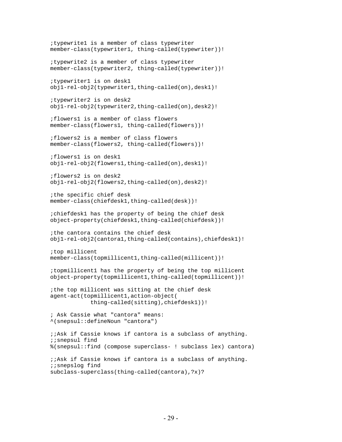;typewrite1 is a member of class typewriter member-class(typewriter1, thing-called(typewriter))! ;typewrite2 is a member of class typewriter member-class(typewriter2, thing-called(typewriter))! ;typewriter1 is on desk1 obj1-rel-obj2(typewriter1,thing-called(on),desk1)! ;typewriter2 is on desk2 obj1-rel-obj2(typewriter2,thing-called(on),desk2)! ;flowers1 is a member of class flowers member-class(flowers1, thing-called(flowers))! ;flowers2 is a member of class flowers member-class(flowers2, thing-called(flowers))! ;flowers1 is on desk1 obj1-rel-obj2(flowers1,thing-called(on),desk1)! ;flowers2 is on desk2 obj1-rel-obj2(flowers2,thing-called(on),desk2)! ;the specific chief desk member-class(chiefdesk1,thing-called(desk))! ;chiefdesk1 has the property of being the chief desk object-property(chiefdesk1,thing-called(chiefdesk))! ;the cantora contains the chief desk obj1-rel-obj2(cantora1,thing-called(contains),chiefdesk1)! ;top millicent member-class(topmillicent1,thing-called(millicent))! ;topmillicent1 has the property of being the top millicent object-property(topmillicent1,thing-called(topmillicent))! ;the top millicent was sitting at the chief desk agent-act(topmillicent1,action-object( thing-called(sitting),chiefdesk1))! ; Ask Cassie what "cantora" means: ^(snepsul::defineNoun "cantora") ;;Ask if Cassie knows if cantora is a subclass of anything. ;;snepsul find %(snepsul::find (compose superclass- ! subclass lex) cantora) ;;Ask if Cassie knows if cantora is a subclass of anything. ;;snepslog find subclass-superclass(thing-called(cantora),?x)?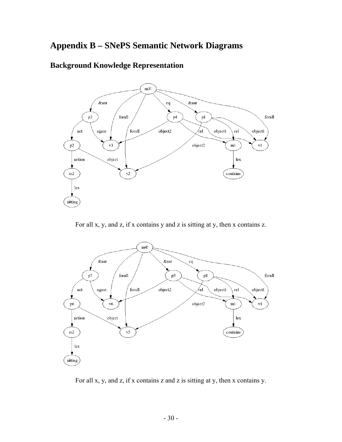## **Appendix B – SNePS Semantic Network Diagrams**

### **Background Knowledge Representation**



For all x, y, and z, if x contains y and z is sitting at y, then x contains z.



For all x, y, and z, if x contains z and z is sitting at y, then x contains y.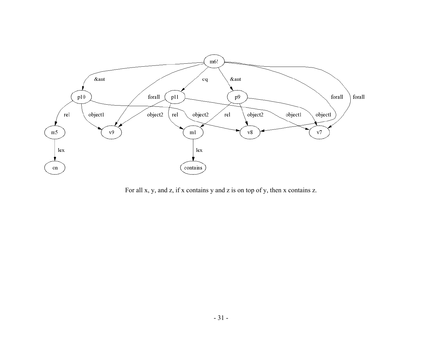

For all x, y, and z, if x contains y and z is on top of y, then x contains z.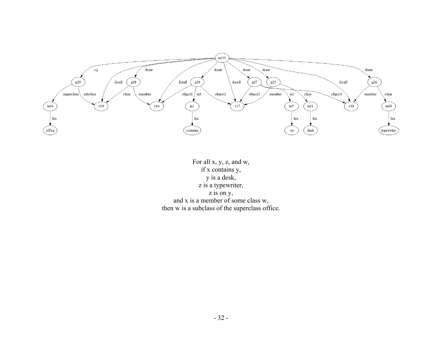

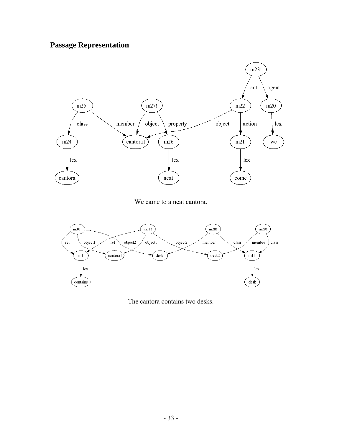# **Passage Representation**



We came to a neat cantora.



The cantora contains two desks.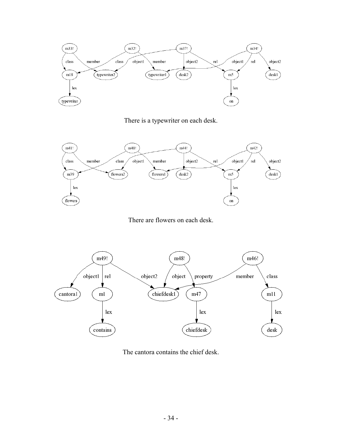

There is a typewriter on each desk.



There are flowers on each desk.



The cantora contains the chief desk.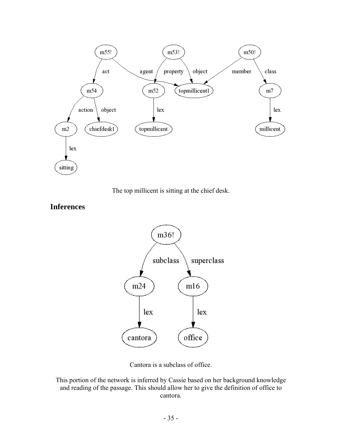







Cantora is a subclass of office.

This portion of the network is inferred by Cassie based on her background knowledge and reading of the passage. This should allow her to give the definition of office to cantora.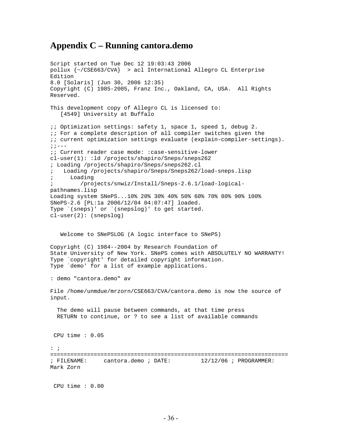### **Appendix C – Running cantora.demo**

Script started on Tue Dec 12 19:03:43 2006 pollux {~/CSE663/CVA} > acl International Allegro CL Enterprise Edition 8.0 [Solaris] (Jun 30, 2006 12:35) Copyright (C) 1985-2005, Franz Inc., Oakland, CA, USA. All Rights Reserved. This development copy of Allegro CL is licensed to: [4549] University at Buffalo ;; Optimization settings: safety 1, space 1, speed 1, debug 2. ;; For a complete description of all compiler switches given the ;; current optimization settings evaluate (explain-compiler-settings).  $;:---$ ;; Current reader case mode: :case-sensitive-lower cl-user(1): :ld /projects/shapiro/Sneps/sneps262 ; Loading /projects/shapiro/Sneps/sneps262.cl ; Loading /projects/shapiro/Sneps/Sneps262/load-sneps.lisp ; Loading ; /projects/snwiz/Install/Sneps-2.6.1/load-logicalpathnames.lisp Loading system SNePS...10% 20% 30% 40% 50% 60% 70% 80% 90% 100% SNePS-2.6 [PL:1a 2006/12/04 04:07:47] loaded. Type `(sneps)' or `(snepslog)' to get started. cl-user(2): (snepslog) Welcome to SNePSLOG (A logic interface to SNePS) Copyright (C) 1984--2004 by Research Foundation of State University of New York. SNePS comes with ABSOLUTELY NO WARRANTY! Type `copyright' for detailed copyright information. Type `demo' for a list of example applications. : demo "cantora.demo" av File /home/unmdue/mrzorn/CSE663/CVA/cantora.demo is now the source of input. The demo will pause between commands, at that time press RETURN to continue, or ? to see a list of available commands CPU time : 0.05 : ; ======================================================================= ; FILENAME: cantora.demo ; DATE: 12/12/06 ; PROGRAMMER: Mark Zorn CPU time : 0.00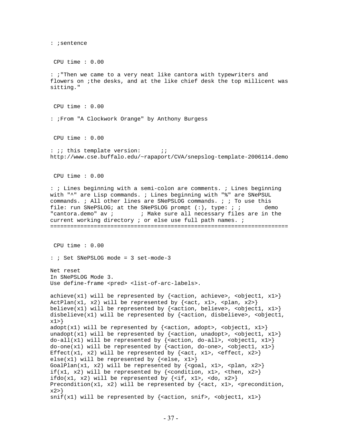: ;sentence CPU time : 0.00 : ;"Then we came to a very neat like cantora with typewriters and flowers on ;the desks, and at the like chief desk the top millicent was sitting." CPU time : 0.00 : ;From "A Clockwork Orange" by Anthony Burgess CPU time : 0.00 : *;*; this template version: ;; http://www.cse.buffalo.edu/~rapaport/CVA/snepslog-template-2006114.demo CPU time : 0.00 : ; Lines beginning with a semi-colon are comments. ; Lines beginning with "^" are Lisp commands. ; Lines beginning with "%" are SNePSUL commands. ; All other lines are SNePSLOG commands. ; ; To use this file: run SNePSLOG; at the SNePSLOG prompt (:), type: ; ; demo "cantora.demo" av ; ; Make sure all necessary files are in the current working directory ; or else use full path names. ; ======================================================================= CPU time : 0.00 : ; Set SNePSLOG mode = 3 set-mode-3 Net reset In SNePSLOG Mode 3. Use define-frame <pred> <list-of-arc-labels>. achieve(x1) will be represented by {<action, achieve>, <br/> <br/>solated, x1>} ActPlan(x1, x2) will be represented by  $\{$  <act, x1>, <plan, x2> $\}$ believe(x1) will be represented by {<action, believe>, <br/> <br/> <br/>subsection, x1>} disbelieve(x1) will be represented by  $\{\text{cation, disbelieve}\}$ , <object1, x1>} adopt(x1) will be represented by  $\{$  <action, adopt>, <object1, x1> $\}$ unadopt(x1) will be represented by  $\{\text{action, unadopt>}\},\ \text{object1, x1>}$ do-all(x1) will be represented by {<action, do-all>, <object1, x1>} do-one(x1) will be represented by {<action, do-one>, <object1, x1>} Effect(x1, x2) will be represented by  $\{\text{cat}, \text{ x1}, \text{ 4}\}$ ,  $\{\text{cf, x2}\}$ else(x1) will be represented by  $\{\text{else, x1>}\}\$ GoalPlan(x1, x2) will be represented by  $\{q\}$  and  $\{x1$ ,  $q\}$ ,  $\{x2\}$ if(x1, x2) will be represented by {<condition, x1>, <then, x2>} ifdo(x1, x2) will be represented by  $\{\langle i\rangle, x1\rangle, \langle d\vert, x2\rangle\}$ Precondition(x1, x2) will be represented by  $\{\text{sat}, \text{xt}, \text{y}, \text{c} \}$  $x2>$  $snif(x1)$  will be represented by {<action, snif>, <object1, x1>}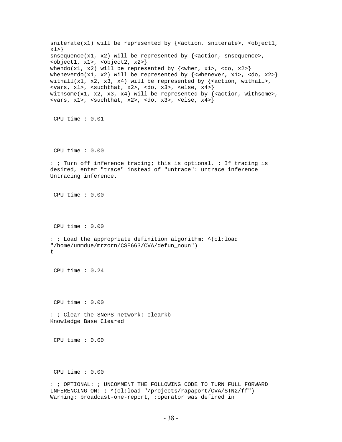sniterate(x1) will be represented by  $\{$  <action, sniterate>, <br/> <br/>soluted, x1>} snsequence(x1, x2) will be represented by  $\{\text{zaction}, \text{s}$ <object1, x1>, <object2, x2>} whendo(x1, x2) will be represented by  $\{\text{when, x1}>, \text{ do, x2} \}$ wheneverdo(x1, x2) will be represented by  $\{\text{whenever}, \text{ x1}>, \text{$ withall(x1, x2, x3, x4) will be represented by  $\{\text{section}, \text{with}\text{all}\}$ ,  $\langle \text{vars}, \text{x1} \rangle$ ,  $\langle \text{such that}, \text{x2} \rangle$ ,  $\langle \text{do}, \text{x3} \rangle$ ,  $\langle \text{else}, \text{x4} \rangle$ withsome(x1, x2, x3, x4) will be represented by  $\{\text{action}, \text{withsome}\}$ ,  $\langle \text{vars}, \text{x1} \rangle$ ,  $\langle \text{such that}, \text{x2} \rangle$ ,  $\langle \text{do}, \text{x3} \rangle$ ,  $\langle \text{else}, \text{x4} \rangle$  CPU time : 0.01 CPU time : 0.00 : ; Turn off inference tracing; this is optional. ; If tracing is desired, enter "trace" instead of "untrace": untrace inference Untracing inference. CPU time : 0.00 CPU time : 0.00 : ; Load the appropriate definition algorithm: ^(cl:load "/home/unmdue/mrzorn/CSE663/CVA/defun\_noun") t CPU time : 0.24 CPU time : 0.00 : ; Clear the SNePS network: clearkb Knowledge Base Cleared CPU time : 0.00 CPU time : 0.00 : ; OPTIONAL: ; UNCOMMENT THE FOLLOWING CODE TO TURN FULL FORWARD INFERENCING ON: ; ^(cl:load "/projects/rapaport/CVA/STN2/ff") Warning: broadcast-one-report, :operator was defined in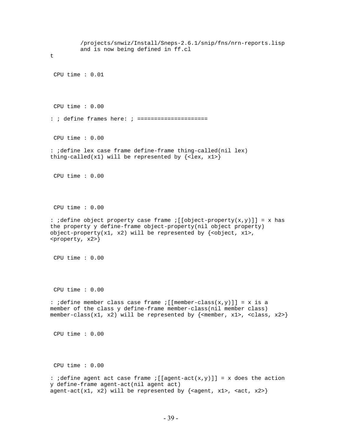/projects/snwiz/Install/Sneps-2.6.1/snip/fns/nrn-reports.lisp and is now being defined in ff.cl t CPU time : 0.01 CPU time : 0.00 : ; define frames here: ; ===================== CPU time : 0.00 : ;define lex case frame define-frame thing-called(nil lex) thing-called(x1) will be represented by  $\{\text{}\}\$  CPU time : 0.00 CPU time : 0.00 :  $define object property case frame : [[object-property(x,y)]] = x has$ the property y define-frame object-property(nil object property) object-property(x1, x2) will be represented by  $\{\text{cobject, x1>}\},\$ <property, x2>} CPU time : 0.00 CPU time : 0.00 : ;define member class case frame ;[[member-class(x,y)]] = x is a member of the class y define-frame member-class(nil member class) member-class(x1, x2) will be represented by {<member, x1>, <class, x2>} CPU time : 0.00 CPU time : 0.00 : idefine agent act case frame  $\left[\begin{bmatrix}a\end{bmatrix}\right]$  = x does the action y define-frame agent-act(nil agent act) agent-act(x1, x2) will be represented by  $\{$  <agent, x1>, <act, x2>}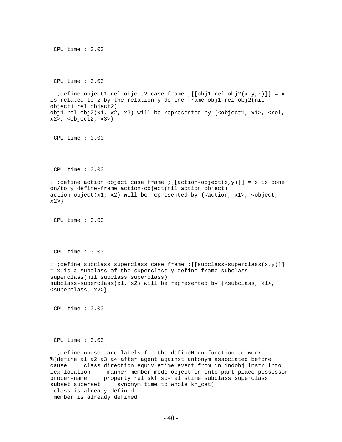```
 CPU time : 0.00 
  CPU time : 0.00 
: ;define object1 rel object2 case frame ; [[obj1-rel-obj2(x,y,z)]] = x
is related to z by the relation y define-frame obj1-rel-obj2(nil 
object1 rel object2) 
obj1-rel-obj2(x1, x2, x3) will be represented by \{\text{cobject1, x1} > , \text{y1} \}x2, <object2, x3>}
 CPU time : 0.00 
  CPU time : 0.00 
: idefine action object case frame \mathfrak{f}[[action-object(x,y)]] = x is done
on/to y define-frame action-object(nil action object) 
action-object(x1, x2) will be represented by {<action, x1>, <object,
x2>} 
  CPU time : 0.00 
  CPU time : 0.00 
: ;define subclass superclass case frame ;[[subclass-superclass(x,y)]] 
= x is a subclass of the superclass y define-frame subclass-
superclass(nil subclass superclass) 
subclass-superclass(x1, x2) will be represented by \{subclass, x1>,<superclass, x2>} 
 CPU time : 0.00 
 CPU time : 0.00 
: ;define unused arc labels for the defineNoun function to work 
%(define a1 a2 a3 a4 after agent against antonym associated before 
cause class direction equiv etime event from in indobj instr into 
lex location manner member mode object on onto part place possessor 
proper-name property rel skf sp-rel stime subclass superclass 
subset superset synonym time to whole kn_cat) 
 class is already defined. 
 member is already defined.
```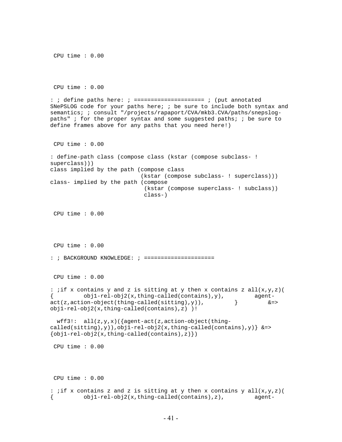CPU time : 0.00 CPU time : 0.00 : ; define paths here: ; ===================== ; (put annotated SNePSLOG code for your paths here; ; be sure to include both syntax and semantics; ; consult "/projects/rapaport/CVA/mkb3.CVA/paths/snepslogpaths" ; for the proper syntax and some suggested paths; ; be sure to define frames above for any paths that you need here!) CPU time : 0.00 : define-path class (compose class (kstar (compose subclass- ! superclass))) class implied by the path (compose class (kstar (compose subclass- ! superclass))) class- implied by the path (compose (kstar (compose superclass- ! subclass)) class-) CPU time : 0.00 CPU time : 0.00 : ; BACKGROUND KNOWLEDGE: ; ===================== CPU time : 0.00 : ; if x contains y and z is sitting at y then x contains z  $all(x,y,z)$  ( { obj1-rel-obj2(x,thing-called(contains),y), agent-<br>act(z,action-object(thing-called(sitting),y)), } &= act(z,action-object(thing-called(sitting),y)), } &=> obj1-rel-obj2(x,thing-called(contains),z) )! wff3!: all(z,y,x)({agent-act(z,action-object(thingcalled(sitting),y)),obj1-rel-obj2(x,thing-called(contains),y)  $\&=$  $\{obj1-rel-obj2(x, thing-called (contains), z)\})$  CPU time : 0.00 CPU time : 0.00 : ; if x contains z and z is sitting at y then x contains  $y \ all(x,y,z)$  ( { obj1-rel-obj2(x,thing-called(contains),z), agent-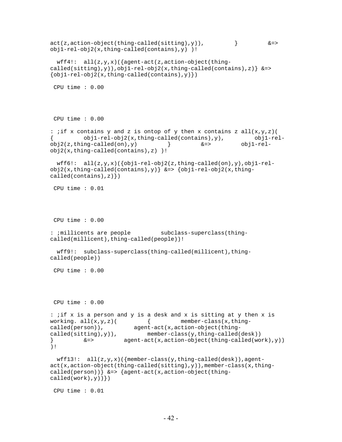```
act(z,action-object(thing-called(sitting), y), \&=&obj1-rel-obj2(x,thing-called(contains),y) )! 
 wff4: all(z,y,x)({agent-act(z,action-object(thing-
called(sitting),y)),obj1-rel-obj2(x,thing-called(contains),z) \&=\{obj1-rel-obj2(x,thing-called(contains), y)\}) CPU time : 0.00 
 CPU time : 0.00 
: ; if x contains y and z is ontop of y then x contains z all(x,y,z) (
         obj1-re1-obj2(x,thing-called(contains),y), obj1-rel-
obj2(z, thing-called(on), y) \&=> obj1-rel-
obj2(x,thing-called(contains),z) )! 
 wff6!: all(z,y,x)(\{obj1-rel-obj2(z,thing-called(on),y),obj1-rel-obj2(x, thing-called (contains), y)} &=> {obj1-re1-obj2(x, thing-called(contains),z)})
 CPU time : 0.01 
 CPU time : 0.00 
: ; millicents are people subclass-superclass(thing-
called(millicent),thing-called(people))! 
  wff9!: subclass-superclass(thing-called(millicent),thing-
called(people)) 
 CPU time : 0.00 
 CPU time : 0.00 
: ;if x is a person and y is a desk and x is sitting at y then x is 
working. all(x,y,z) ( \qquad \qquad \{ member-class(x,thing-
called(person)), agent-act(x,action-object(thing-
called(sitting), y), member-class(y,thing-called(desk))
} &=> agent-act(x,action-object(thing-called(work),y)) 
)! 
 wff13!: all(z,y,x)({member-class(y,thing-called(desk)),agent-
act(x,action-object(thing-called(sitting),y)),member-class(x,thing-
called(person)) \&=> \{aqent-act(x,action-object(thing-called(work), y)) CPU time : 0.01
```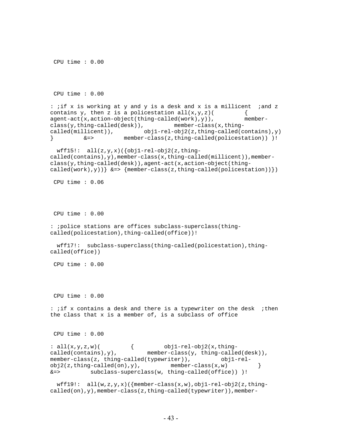```
 CPU time : 0.00 
: ; if x is working at y and y is a desk and x is a millicent ; and z
contains y, then z is a policestation all(x,y,z) {
agent-act(x,action-object(thing-called(work),y)), member-
class(y,thing-called(desk)), member-class(x,thing-
called(millicent)), obj1-rel-obj2(z,thing-called(contains),y) 
         } &=> member-class(z,thing-called(policestation)) )! 
 wff15!: all(z,y,x)({obj1-rel-obj2(z,thing-
called(contains),y),member-class(x,thing-called(millicent)),member-
class(y,thing-called(desk)),agent-act(x,action-object(thing-
called(work),y)) \&= {member-class(z,thing-called(policestation)) })
 CPU time : 0.06 
 CPU time : 0.00 
: ;police stations are offices subclass-superclass(thing-
called(policestation),thing-called(office))! 
  wff17!: subclass-superclass(thing-called(policestation),thing-
called(office)) 
 CPU time : 0.00 
 CPU time : 0.00 
: ; if x contains a desk and there is a typewriter on the desk ; then
the class that x is a member of, is a subclass of office 
 CPU time : 0.00 
: all(x,y,z,w) ( obj1-rel-obj2(x,thing-called (contains), y), member-class(y, thing-called(desk)),
member-class(z, thing-called(typewriter)), obj1-rel-
obj2(z, thing-called(on), y), member-class(x,w) }
&=> subclass-superclass(w, thing-called(office)) )! 
 wff19: all(w,z,y,x)({member-class(x,w),obj1-rel-obj2(z,thing-
called(on),y),member-class(z,thing-called(typewriter)),member-
```
CPU time : 0.00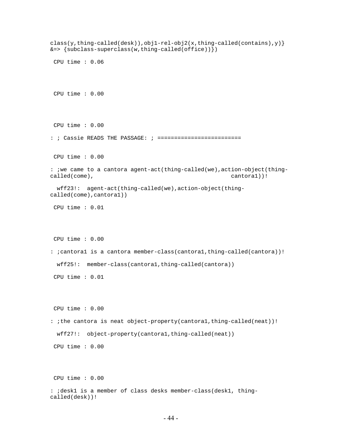class(y,thing-called(desk)),obj1-rel-obj2(x,thing-called(contains),y)}  $&=> \{subclass-superclass(w, thing-called(offace))\})$  CPU time : 0.06 CPU time : 0.00 CPU time : 0.00 : ; Cassie READS THE PASSAGE: ; ========================= CPU time : 0.00 : ;we came to a cantora agent-act(thing-called(we),action-object(thingcalled(come), cantora1))! wff23!: agent-act(thing-called(we),action-object(thingcalled(come),cantora1)) CPU time : 0.01 CPU time : 0.00 : ;cantora1 is a cantora member-class(cantora1,thing-called(cantora))! wff25!: member-class(cantora1,thing-called(cantora)) CPU time : 0.01 CPU time : 0.00 : ;the cantora is neat object-property(cantora1,thing-called(neat))! wff27!: object-property(cantora1,thing-called(neat)) CPU time : 0.00 CPU time : 0.00 : ;desk1 is a member of class desks member-class(desk1, thingcalled(desk))!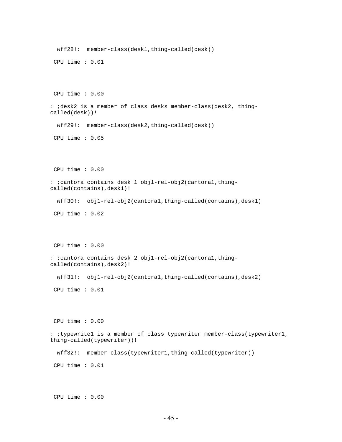```
 wff28!: member-class(desk1,thing-called(desk)) 
 CPU time : 0.01 
 CPU time : 0.00 
: ;desk2 is a member of class desks member-class(desk2, thing-
called(desk))! 
  wff29!: member-class(desk2,thing-called(desk)) 
 CPU time : 0.05 
 CPU time : 0.00 
: ;cantora contains desk 1 obj1-rel-obj2(cantora1,thing-
called(contains),desk1)! 
  wff30!: obj1-rel-obj2(cantora1,thing-called(contains),desk1) 
 CPU time : 0.02 
 CPU time : 0.00 
: ;cantora contains desk 2 obj1-rel-obj2(cantora1,thing-
called(contains),desk2)! 
  wff31!: obj1-rel-obj2(cantora1,thing-called(contains),desk2) 
 CPU time : 0.01 
 CPU time : 0.00 
: ;typewrite1 is a member of class typewriter member-class(typewriter1, 
thing-called(typewriter))! 
  wff32!: member-class(typewriter1,thing-called(typewriter)) 
 CPU time : 0.01 
 CPU time : 0.00
```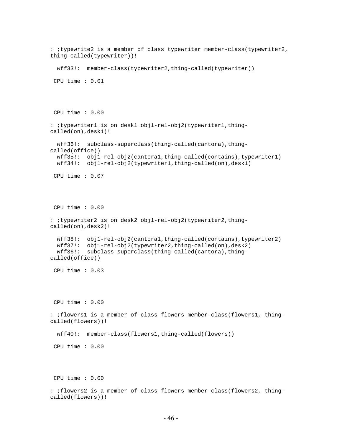```
: ;typewrite2 is a member of class typewriter member-class(typewriter2, 
thing-called(typewriter))! 
  wff33!: member-class(typewriter2,thing-called(typewriter)) 
  CPU time : 0.01 
 CPU time : 0.00 
: ;typewriter1 is on desk1 obj1-rel-obj2(typewriter1,thing-
called(on),desk1)! 
  wff36!: subclass-superclass(thing-called(cantora),thing-
called(office)) 
  wff35!: obj1-rel-obj2(cantora1,thing-called(contains),typewriter1) 
  wff34!: obj1-rel-obj2(typewriter1,thing-called(on),desk1) 
 CPU time : 0.07 
 CPU time : 0.00 
: ;typewriter2 is on desk2 obj1-rel-obj2(typewriter2,thing-
called(on),desk2)! 
  wff38!: obj1-rel-obj2(cantora1,thing-called(contains),typewriter2) 
  wff37!: obj1-rel-obj2(typewriter2,thing-called(on),desk2) 
  wff36!: subclass-superclass(thing-called(cantora),thing-
called(office)) 
 CPU time : 0.03 
 CPU time : 0.00 
: ;flowers1 is a member of class flowers member-class(flowers1, thing-
called(flowers))! 
  wff40!: member-class(flowers1,thing-called(flowers)) 
 CPU time : 0.00 
 CPU time : 0.00 
: ;flowers2 is a member of class flowers member-class(flowers2, thing-
called(flowers))!
```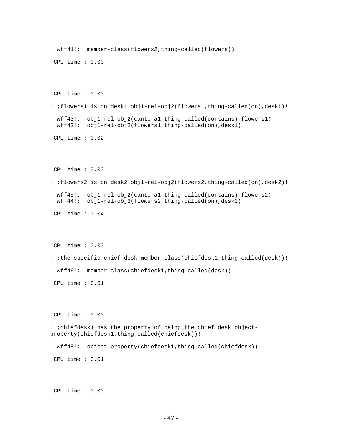```
 wff41!: member-class(flowers2,thing-called(flowers)) 
  CPU time : 0.00 
 CPU time : 0.00 
: ;flowers1 is on desk1 obj1-rel-obj2(flowers1,thing-called(on),desk1)! 
  wff43!: obj1-rel-obj2(cantora1,thing-called(contains),flowers1) 
  wff42!: obj1-rel-obj2(flowers1,thing-called(on),desk1) 
 CPU time : 0.02 
 CPU time : 0.00 
: ;flowers2 is on desk2 obj1-rel-obj2(flowers2,thing-called(on),desk2)! 
  wff45!: obj1-rel-obj2(cantora1,thing-called(contains),flowers2) 
  wff44!: obj1-rel-obj2(flowers2,thing-called(on),desk2) 
  CPU time : 0.04 
 CPU time : 0.00 
: ;the specific chief desk member-class(chiefdesk1,thing-called(desk))! 
  wff46!: member-class(chiefdesk1,thing-called(desk)) 
 CPU time : 0.01 
 CPU time : 0.00 
: ;chiefdesk1 has the property of being the chief desk object-
property(chiefdesk1,thing-called(chiefdesk))! 
  wff48!: object-property(chiefdesk1,thing-called(chiefdesk)) 
 CPU time : 0.01 
 CPU time : 0.00
```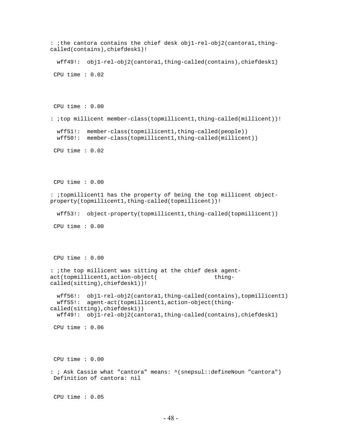```
: ;the cantora contains the chief desk obj1-rel-obj2(cantora1,thing-
called(contains),chiefdesk1)! 
  wff49!: obj1-rel-obj2(cantora1,thing-called(contains),chiefdesk1) 
 CPU time : 0.02 
 CPU time : 0.00 
: ;top millicent member-class(topmillicent1,thing-called(millicent))! 
  wff51!: member-class(topmillicent1,thing-called(people)) 
  wff50!: member-class(topmillicent1,thing-called(millicent)) 
  CPU time : 0.02 
 CPU time : 0.00 
: ;topmillicent1 has the property of being the top millicent object-
property(topmillicent1,thing-called(topmillicent))! 
  wff53!: object-property(topmillicent1,thing-called(topmillicent)) 
 CPU time : 0.00 
 CPU time : 0.00 
: ;the top millicent was sitting at the chief desk agent-
act(topmillicent1,action-object( thing-
called(sitting),chiefdesk1))! 
  wff56!: obj1-rel-obj2(cantora1,thing-called(contains),topmillicent1) 
  wff55!: agent-act(topmillicent1,action-object(thing-
called(sitting),chiefdesk1)) 
  wff49!: obj1-rel-obj2(cantora1,thing-called(contains),chiefdesk1) 
 CPU time : 0.06 
 CPU time : 0.00 
: ; Ask Cassie what "cantora" means: ^(snepsul::defineNoun "cantora") 
 Definition of cantora: nil 
 CPU time : 0.05
```